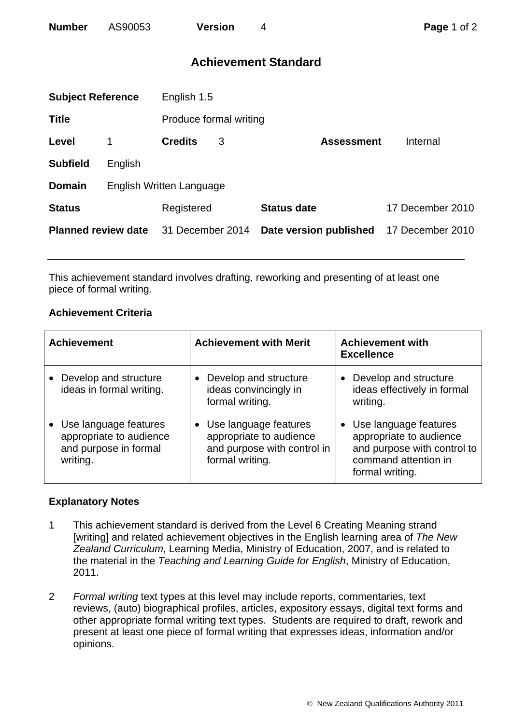## **Achievement Standard**

| <b>Subject Reference</b>   |                                 | English 1.5            |   |                        |                  |  |
|----------------------------|---------------------------------|------------------------|---|------------------------|------------------|--|
| <b>Title</b>               |                                 | Produce formal writing |   |                        |                  |  |
| Level                      | 1                               | <b>Credits</b>         | 3 | <b>Assessment</b>      | Internal         |  |
| <b>Subfield</b>            | English                         |                        |   |                        |                  |  |
| <b>Domain</b>              | <b>English Written Language</b> |                        |   |                        |                  |  |
| <b>Status</b>              |                                 | Registered             |   | <b>Status date</b>     | 17 December 2010 |  |
| <b>Planned review date</b> |                                 | 31 December 2014       |   | Date version published | 17 December 2010 |  |
|                            |                                 |                        |   |                        |                  |  |

This achievement standard involves drafting, reworking and presenting of at least one piece of formal writing.

## **Achievement Criteria**

| <b>Achievement</b>                                                                      | <b>Achievement with Merit</b>                                                                        | <b>Achievement with</b><br><b>Excellence</b>                                                                                 |
|-----------------------------------------------------------------------------------------|------------------------------------------------------------------------------------------------------|------------------------------------------------------------------------------------------------------------------------------|
| Develop and structure<br>ideas in formal writing.                                       | Develop and structure<br>ideas convincingly in<br>formal writing.                                    | Develop and structure<br>ideas effectively in formal<br>writing.                                                             |
| • Use language features<br>appropriate to audience<br>and purpose in formal<br>writing. | • Use language features<br>appropriate to audience<br>and purpose with control in<br>formal writing. | • Use language features<br>appropriate to audience<br>and purpose with control to<br>command attention in<br>formal writing. |

## **Explanatory Notes**

- 1 This achievement standard is derived from the Level 6 Creating Meaning strand [writing] and related achievement objectives in the English learning area of *The New Zealand Curriculum*, Learning Media, Ministry of Education, 2007, and is related to the material in the *Teaching and Learning Guide for English*, Ministry of Education, 2011.
- 2 *Formal writing* text types at this level may include reports, commentaries, text reviews, (auto) biographical profiles, articles, expository essays, digital text forms and other appropriate formal writing text types. Students are required to draft, rework and present at least one piece of formal writing that expresses ideas, information and/or opinions.